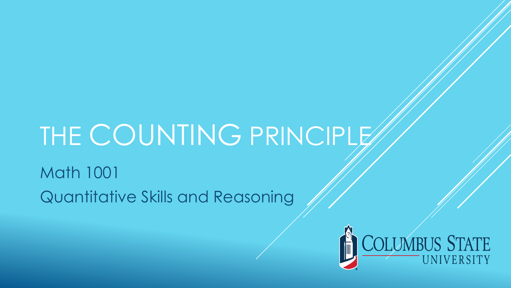# THE COUNTING PRINCIPLE

Math 1001 Quantitative Skills and Reasoning

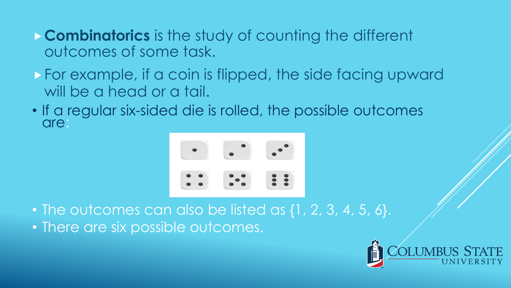- **Combinatorics** is the study of counting the different outcomes of some task.
- For example, if a coin is flipped, the side facing upward will be a head or a tail.
- If a regular six-sided die is rolled, the possible outcomes are:



• The outcomes can also be listed as {1, 2, 3, 4, 5, 6}. • There are six possible outcomes.

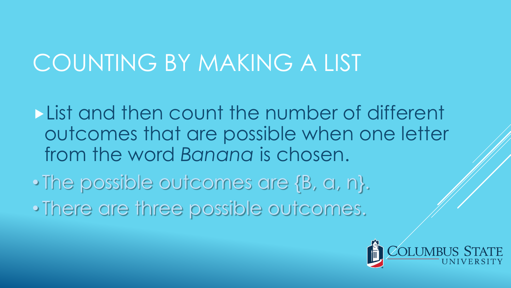## COUNTING BY MAKING A LIST

**List and then count the number of different** outcomes that are possible when one letter from the word *Banana* is chosen.

• The possible outcomes are {B, a, n}. • There are three possible outcomes.

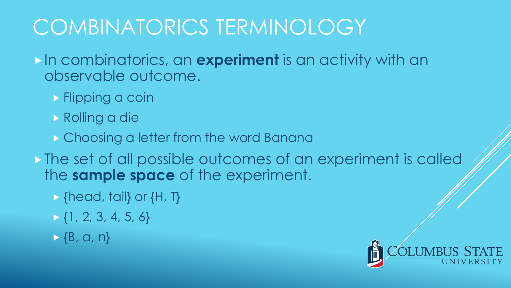## COMBINATORICS TERMINOLOGY

In combinatorics, an **experiment** is an activity with an observable outcome.

- **Flipping a coin**
- Rolling a die
- **Choosing a letter from the word Banana**
- The set of all possible outcomes of an experiment is called the **sample space** of the experiment.
	- {head, tail} or {H, T}
	- $\{\frac{1}{2}, 2, 3, 4, 5, 6\}$
	- $\rightarrow \{B, G, n\}$

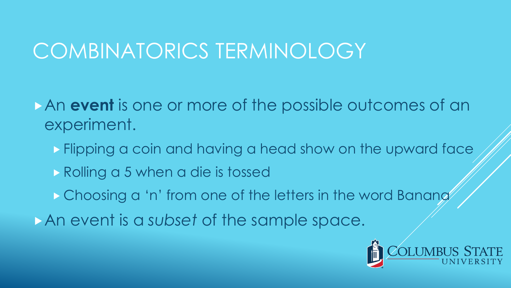### COMBINATORICS TERMINOLOGY

- An **event** is one or more of the possible outcomes of an experiment.
	- **Flipping a coin and having a head show on the upward face**
	- Rolling a 5 when a die is tossed
	- **Choosing a 'n' from one of the letters in the word Banang**
- An event is a *subset* of the sample space.

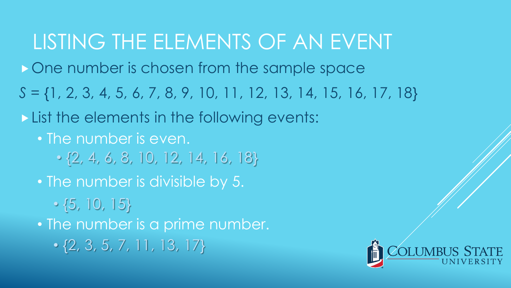## LISTING THE ELEMENTS OF AN EVENT

One number is chosen from the sample space

*S* = {1, 2, 3, 4, 5, 6, 7, 8, 9, 10, 11, 12, 13, 14, 15, 16, 17, 18}

List the elements in the following events:

• The number is even.

- $\cdot$  {2, 4, 6, 8, 10, 12, 14, 16, 18}
- The number is divisible by 5.

 $\cdot$  {5, 10, 15}

• The number is a prime number.

 $\cdot$  {2, 3, 5, 7, 11, 13, 17}

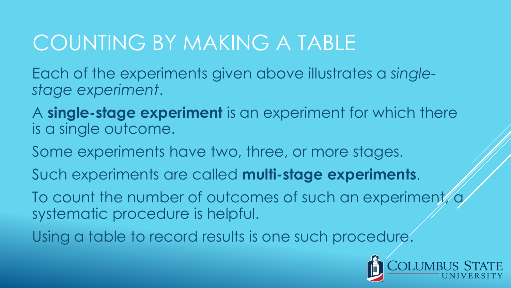Each of the experiments given above illustrates a *singlestage experiment*.

A **single-stage experiment** is an experiment for which there is a single outcome.

Some experiments have two, three, or more stages.

Such experiments are called **multi-stage experiments**.

To count the number of outcomes of such an experiment, systematic procedure is helpful.

Using a table to record results is one such procedure.

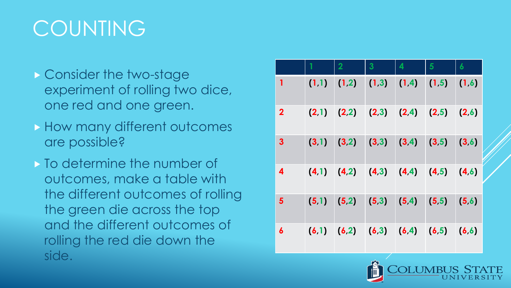## **COUNTING**

- ▶ Consider the two-stage experiment of rolling two dice, one red and one green.
- **How many different outcomes** are possible?
- $\triangleright$  To determine the number of outcomes, make a table with the different outcomes of rolling the green die across the top and the different outcomes of rolling the red die down the side.

|                  | $\overline{2}$                                  | 3 | 4 | $5\phantom{1}$ | 6 |
|------------------|-------------------------------------------------|---|---|----------------|---|
| 1                | $(1,1)$ $(1,2)$ $(1,3)$ $(1,4)$ $(1,5)$ $(1,6)$ |   |   |                |   |
| $\overline{2}$   | $(2,1)$ $(2,2)$ $(2,3)$ $(2,4)$ $(2,5)$ $(2,6)$ |   |   |                |   |
| 3                | $(3,1)$ $(3,2)$ $(3,3)$ $(3,4)$ $(3,5)$ $(3,6)$ |   |   |                |   |
| 4                | $(4,1)$ $(4,2)$ $(4,3)$ $(4,4)$ $(4,5)$ $(4,6)$ |   |   |                |   |
| 5                | $(5,1)$ $(5,2)$ $(5,3)$ $(5,4)$ $(5,5)$ $(5,6)$ |   |   |                |   |
| $\boldsymbol{6}$ | $(6,1)$ $(6,2)$ $(6,3)$ $(6,4)$ $(6,5)$ $(6,6)$ |   |   |                |   |



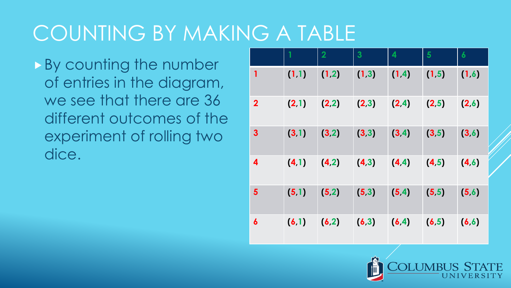By counting the number of entries in the diagram, we see that there are 36 different outcomes of the experiment of rolling two dice.

|                         |       | $\overline{2}$ | $\overline{\mathbf{3}}$ | $\overline{\mathbf{4}}$ | 5      | $\boldsymbol{6}$ |
|-------------------------|-------|----------------|-------------------------|-------------------------|--------|------------------|
| 1                       | (1,1) | (1,2)          | (1,3)                   | (1, 4)                  | (1, 5) | (1,6)            |
| $\overline{\mathbf{2}}$ | (2,1) | (2,2)          | (2,3)                   | (2, 4)                  | (2,5)  | (2,6)            |
| $\mathbf{3}$            | (3,1) | (3,2)          | (3,3)                   | (3, 4)                  | (3, 5) | (3, 6)           |
| 4                       | (4.1) | (4,2)          | (4,3)                   | (4, 4)                  | (4, 5) | (4,6)            |
| $5\phantom{1}$          | (5.1) | (5,2)          | (5,3)                   | (5, 4)                  | (5,5)  | (5,6)            |
| 6                       | (6.1) | (6,2)          | (6,3)                   | (6, 4)                  | (6, 5) | (6, 6)           |

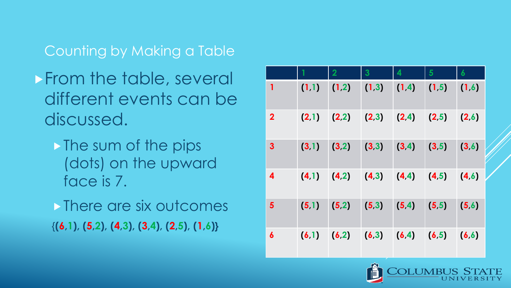Counting by Making a Table

- **From the table, several** different events can be discussed.
	- The sum of the pips (dots) on the upward face is 7.
	- **There are six outcomes** {**(6,1), (5,2), (4,3), (3,4), (2,5), (1,6)}**

|                         |            | $\overline{2}$          | $\overline{\mathbf{3}}$ | 4                       | $5\phantom{1}$ | $\boldsymbol{6}$ |
|-------------------------|------------|-------------------------|-------------------------|-------------------------|----------------|------------------|
| $\mathbf{1}$            | (1,1)      | (1,2)                   | (1,3)                   | (1, 4)                  | (1.5)          | (1,6)            |
| $\overline{\mathbf{2}}$ | (2,1)      | (2,2)                   | $(2,3)$ $(2,4)$         |                         | (2,5)          | (2,6)            |
| $\mathbf{3}$            | (3,1)<br>٠ | (3,2)                   | (3,3)                   | (3, 4)                  | (3,5)          | (3,6)            |
| 4                       | (4,1)      | $(4,2)$ $(4,3)$ $(4,4)$ |                         |                         | (4.5)          | (4,6)            |
| 5                       | (5,1)      | (5,2)                   | (5,3)                   | (5, 4)                  | (5,5)          | (5,6)            |
| 6                       | (6.1)      | (6,2)                   |                         | $(6,3)$ $(6,4)$ $(6,5)$ |                | (6, 6)           |

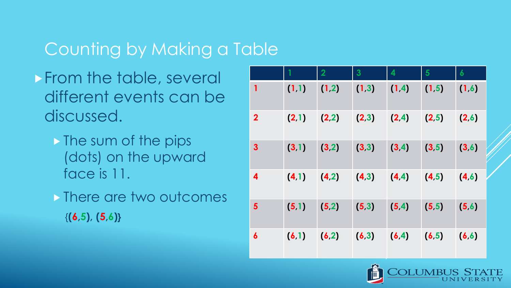#### Counting by Making a Table

- **From the table, several** different events can be discussed.
	- The sum of the pips (dots) on the upward face is 11.
	- **There are two outcomes** {**(6,5), (5,6)}**

|                         |       | $\overline{2}$ | 3     | 4      | 5      | $\boldsymbol{6}$ |
|-------------------------|-------|----------------|-------|--------|--------|------------------|
| 1                       | (1,1) | (1,2)          | (1,3) | (1,4)  | (1, 5) | (1,6)            |
| $\overline{\mathbf{2}}$ | (2,1) | (2,2)          | (2,3) | (2, 4) | (2,5)  | (2,6)            |
| $\mathbf{3}$            | (3,1) | (3,2)          | (3,3) | (3, 4) | (3, 5) | (3,6)            |
| 4                       | (4.1) | (4,2)          | (4,3) | (4, 4) | (4, 5) | (4, 6)           |
| $\overline{\mathbf{5}}$ | (5,1) | (5,2)          | (5,3) | (5, 4) | (5, 5) | (5,6)            |
| 6                       | (6,1) | (6,2)          | (6,3) | (6, 4) | (6, 5) | (6, 6)           |

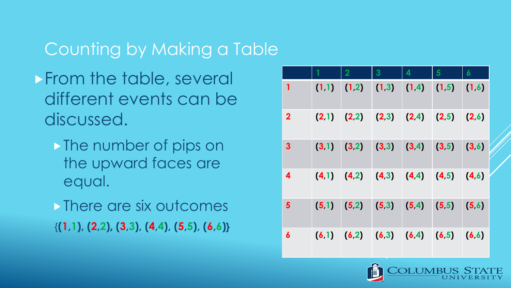#### Counting by Making a Table

- **From the table, several** different events can be discussed.
	- The number of pips on the upward faces are equal.
	- **There are six outcomes** {**(1,1), (2,2), (3,3), (4,4), (5,5), (6,6)}**

|                         | $\overline{2}$                          | 3 | 4 | 5 | 6     |
|-------------------------|-----------------------------------------|---|---|---|-------|
| 1                       | $(1,1)$ $(1,2)$ $(1,3)$ $(1,4)$ $(1,5)$ |   |   |   | (1,6) |
| $\overline{\mathbf{2}}$ | $(2,1)$ $(2,2)$ $(2,3)$ $(2,4)$ $(2,5)$ |   |   |   | (2,6) |
| 3                       | $(3,1)$ $(3,2)$ $(3,3)$ $(3,4)$ $(3,5)$ |   |   |   | (3,6) |
| 4                       | $(4,1)$ $(4,2)$ $(4,3)$ $(4,4)$ $(4,5)$ |   |   |   | (4,6) |
| 5                       | $(5,1)$ $(5,2)$ $(5,3)$ $(5,4)$ $(5,5)$ |   |   |   | (5,6) |
| 6                       | $(6,1)$ $(6,2)$ $(6,3)$ $(6,4)$ $(6,5)$ |   |   |   | (6,6) |

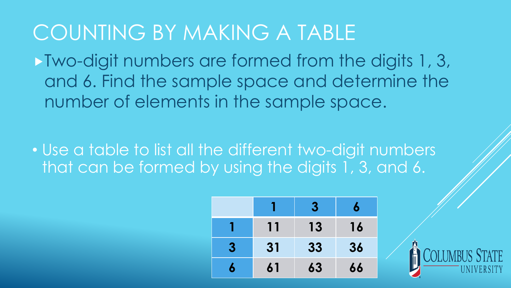Two-digit numbers are formed from the digits 1, 3, and 6. Find the sample space and determine the number of elements in the sample space.

• Use a table to list all the different two-digit numbers that can be formed by using the digits 1, 3, and 6.

|                  |    | 3  | 6  |
|------------------|----|----|----|
|                  | 11 | 13 | 16 |
| $\boldsymbol{3}$ | 31 | 33 | 36 |
|                  | 61 | 63 | 66 |